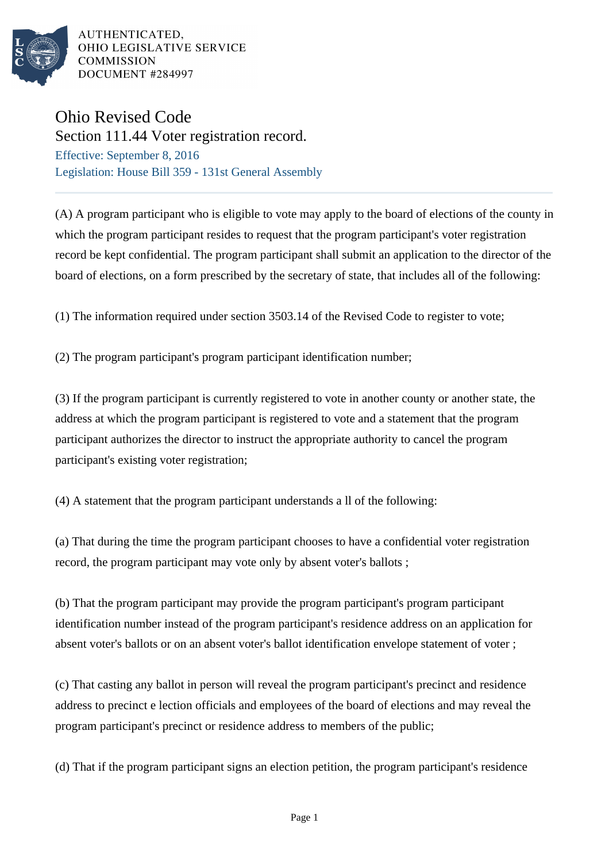

## Ohio Revised Code

Section 111.44 Voter registration record. Effective: September 8, 2016 Legislation: House Bill 359 - 131st General Assembly

(A) A program participant who is eligible to vote may apply to the board of elections of the county in which the program participant resides to request that the program participant's voter registration record be kept confidential. The program participant shall submit an application to the director of the board of elections, on a form prescribed by the secretary of state, that includes all of the following:

(1) The information required under section 3503.14 of the Revised Code to register to vote;

(2) The program participant's program participant identification number;

(3) If the program participant is currently registered to vote in another county or another state, the address at which the program participant is registered to vote and a statement that the program participant authorizes the director to instruct the appropriate authority to cancel the program participant's existing voter registration;

(4) A statement that the program participant understands a ll of the following:

(a) That during the time the program participant chooses to have a confidential voter registration record, the program participant may vote only by absent voter's ballots ;

(b) That the program participant may provide the program participant's program participant identification number instead of the program participant's residence address on an application for absent voter's ballots or on an absent voter's ballot identification envelope statement of voter ;

(c) That casting any ballot in person will reveal the program participant's precinct and residence address to precinct e lection officials and employees of the board of elections and may reveal the program participant's precinct or residence address to members of the public;

(d) That if the program participant signs an election petition, the program participant's residence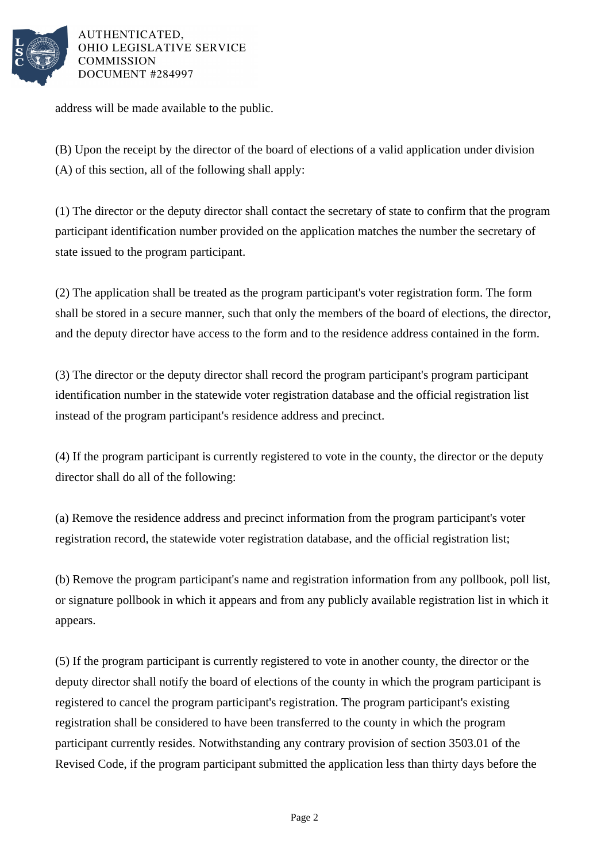

address will be made available to the public.

(B) Upon the receipt by the director of the board of elections of a valid application under division (A) of this section, all of the following shall apply:

(1) The director or the deputy director shall contact the secretary of state to confirm that the program participant identification number provided on the application matches the number the secretary of state issued to the program participant.

(2) The application shall be treated as the program participant's voter registration form. The form shall be stored in a secure manner, such that only the members of the board of elections, the director, and the deputy director have access to the form and to the residence address contained in the form.

(3) The director or the deputy director shall record the program participant's program participant identification number in the statewide voter registration database and the official registration list instead of the program participant's residence address and precinct.

(4) If the program participant is currently registered to vote in the county, the director or the deputy director shall do all of the following:

(a) Remove the residence address and precinct information from the program participant's voter registration record, the statewide voter registration database, and the official registration list;

(b) Remove the program participant's name and registration information from any pollbook, poll list, or signature pollbook in which it appears and from any publicly available registration list in which it appears.

(5) If the program participant is currently registered to vote in another county, the director or the deputy director shall notify the board of elections of the county in which the program participant is registered to cancel the program participant's registration. The program participant's existing registration shall be considered to have been transferred to the county in which the program participant currently resides. Notwithstanding any contrary provision of section 3503.01 of the Revised Code, if the program participant submitted the application less than thirty days before the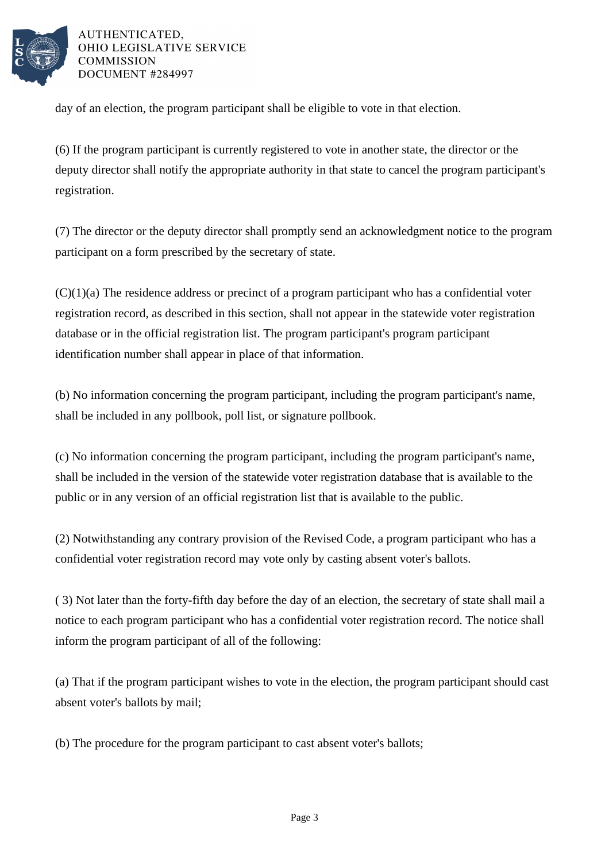

day of an election, the program participant shall be eligible to vote in that election.

(6) If the program participant is currently registered to vote in another state, the director or the deputy director shall notify the appropriate authority in that state to cancel the program participant's registration.

(7) The director or the deputy director shall promptly send an acknowledgment notice to the program participant on a form prescribed by the secretary of state.

 $(C)(1)(a)$  The residence address or precinct of a program participant who has a confidential voter registration record, as described in this section, shall not appear in the statewide voter registration database or in the official registration list. The program participant's program participant identification number shall appear in place of that information.

(b) No information concerning the program participant, including the program participant's name, shall be included in any pollbook, poll list, or signature pollbook.

(c) No information concerning the program participant, including the program participant's name, shall be included in the version of the statewide voter registration database that is available to the public or in any version of an official registration list that is available to the public.

(2) Notwithstanding any contrary provision of the Revised Code, a program participant who has a confidential voter registration record may vote only by casting absent voter's ballots.

( 3) Not later than the forty-fifth day before the day of an election, the secretary of state shall mail a notice to each program participant who has a confidential voter registration record. The notice shall inform the program participant of all of the following:

(a) That if the program participant wishes to vote in the election, the program participant should cast absent voter's ballots by mail;

(b) The procedure for the program participant to cast absent voter's ballots;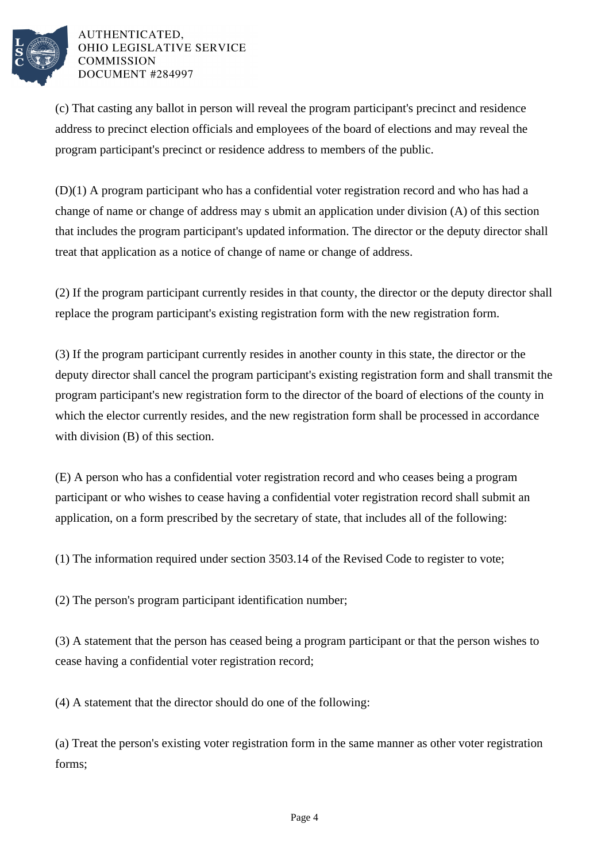

(c) That casting any ballot in person will reveal the program participant's precinct and residence address to precinct election officials and employees of the board of elections and may reveal the program participant's precinct or residence address to members of the public.

(D)(1) A program participant who has a confidential voter registration record and who has had a change of name or change of address may s ubmit an application under division (A) of this section that includes the program participant's updated information. The director or the deputy director shall treat that application as a notice of change of name or change of address.

(2) If the program participant currently resides in that county, the director or the deputy director shall replace the program participant's existing registration form with the new registration form.

(3) If the program participant currently resides in another county in this state, the director or the deputy director shall cancel the program participant's existing registration form and shall transmit the program participant's new registration form to the director of the board of elections of the county in which the elector currently resides, and the new registration form shall be processed in accordance with division (B) of this section.

(E) A person who has a confidential voter registration record and who ceases being a program participant or who wishes to cease having a confidential voter registration record shall submit an application, on a form prescribed by the secretary of state, that includes all of the following:

(1) The information required under section 3503.14 of the Revised Code to register to vote;

(2) The person's program participant identification number;

(3) A statement that the person has ceased being a program participant or that the person wishes to cease having a confidential voter registration record;

(4) A statement that the director should do one of the following:

(a) Treat the person's existing voter registration form in the same manner as other voter registration forms;